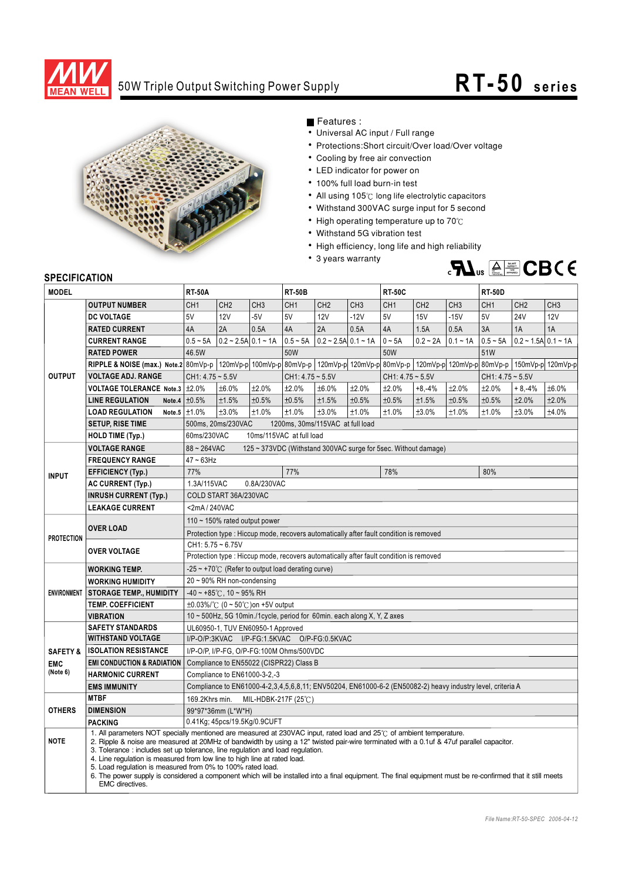

## 50W Triple Output Switching Power Supply **RT-50** series



Features :

- Universal AC input / Full range
- Protections: Short circuit/Over load/Over voltage
- Cooling by free air convection
- LED indicator for power on
- 100% full load burn-in test
- All using 105°C long life electrolytic capacitors
- Withstand 300VAC surge input for 5 second
- High operating temperature up to  $70^{\circ}$ C
- Withstand 5G vibration test
- High efficiency, long life and high reliability
- 3 years warranty



## **SPECIFICATION**

| <b>MODEL</b>        |                                                     | <b>RT-50A</b>                                                                                                                                                                                                                                                                                                                                                                                                                                                                                                                                                                                                                                            |                                                        |                 | <b>RT-50B</b>                                                                                                         |                                   |                 | <b>RT-50C</b>      |                 |                 | <b>RT-50D</b>      |                             |                 |  |
|---------------------|-----------------------------------------------------|----------------------------------------------------------------------------------------------------------------------------------------------------------------------------------------------------------------------------------------------------------------------------------------------------------------------------------------------------------------------------------------------------------------------------------------------------------------------------------------------------------------------------------------------------------------------------------------------------------------------------------------------------------|--------------------------------------------------------|-----------------|-----------------------------------------------------------------------------------------------------------------------|-----------------------------------|-----------------|--------------------|-----------------|-----------------|--------------------|-----------------------------|-----------------|--|
|                     | <b>OUTPUT NUMBER</b>                                | CH <sub>1</sub>                                                                                                                                                                                                                                                                                                                                                                                                                                                                                                                                                                                                                                          | CH <sub>2</sub>                                        | CH <sub>3</sub> | CH <sub>1</sub>                                                                                                       | CH <sub>2</sub>                   | CH <sub>3</sub> | CH <sub>1</sub>    | CH <sub>2</sub> | CH <sub>3</sub> | CH <sub>1</sub>    | CH <sub>2</sub>             | CH <sub>3</sub> |  |
| <b>OUTPUT</b>       | <b>DC VOLTAGE</b>                                   | 5V                                                                                                                                                                                                                                                                                                                                                                                                                                                                                                                                                                                                                                                       | <b>12V</b>                                             | $-5V$           | 5V                                                                                                                    | <b>12V</b>                        | $-12V$          | 5V                 | <b>15V</b>      | $-15V$          | 5V                 | <b>24V</b>                  | <b>12V</b>      |  |
|                     | <b>RATED CURRENT</b>                                | 4A                                                                                                                                                                                                                                                                                                                                                                                                                                                                                                                                                                                                                                                       | 2A                                                     | 0.5A            | 4A                                                                                                                    | 2A                                | 0.5A            | 4A                 | 1.5A            | 0.5A            | 3A                 | 1A                          | 1A              |  |
|                     | <b>CURRENT RANGE</b>                                | $0.5 - 5A$                                                                                                                                                                                                                                                                                                                                                                                                                                                                                                                                                                                                                                               | $0.2 \sim 2.5$ A $0.1 \sim 1$ A                        |                 |                                                                                                                       | $0.5 \sim 5A$ 0.2 ~ 2.5A 0.1 ~ 1A |                 | $0 - 5A$           | $0.2 - 2A$      | $0.1 - 1A$      | $0.5 - 5A$         | $0.2 - 1.5A \cdot 0.1 - 1A$ |                 |  |
|                     | <b>RATED POWER</b>                                  | 46.5W                                                                                                                                                                                                                                                                                                                                                                                                                                                                                                                                                                                                                                                    |                                                        |                 | 50W                                                                                                                   |                                   |                 | 50W                |                 |                 | 51W                |                             |                 |  |
|                     | RIPPLE & NOISE (max.) Note.2 80mVp-p                |                                                                                                                                                                                                                                                                                                                                                                                                                                                                                                                                                                                                                                                          |                                                        |                 | $120mVp-p$ $100mVp-p$ $80mVp-p$ $120mVp-p$ $120mVp-p$ $80mVp-p$ $120mVp-p$ $120mVp-p$ $80mVp-p$ $150mVp-p$ $120mVp-p$ |                                   |                 |                    |                 |                 |                    |                             |                 |  |
|                     | <b>VOLTAGE ADJ. RANGE</b>                           | $CH1: 4.75 - 5.5V$                                                                                                                                                                                                                                                                                                                                                                                                                                                                                                                                                                                                                                       |                                                        |                 | $CH1: 4.75 - 5.5V$                                                                                                    |                                   |                 | $CH1: 4.75 - 5.5V$ |                 |                 | $CH1: 4.75 - 5.5V$ |                             |                 |  |
|                     | <b>VOLTAGE TOLERANCE Note.3</b>                     | ±2.0%                                                                                                                                                                                                                                                                                                                                                                                                                                                                                                                                                                                                                                                    | ±6.0%                                                  | ±2.0%           | ±2.0%                                                                                                                 | ±6.0%                             | ±2.0%           | ±2.0%              | $+8,-4%$        | ±2.0%           | ±2.0%              | $+8,-4%$                    | ±6.0%           |  |
|                     | <b>LINE REGULATION</b>                              | Note.4 $\pm 0.5\%$                                                                                                                                                                                                                                                                                                                                                                                                                                                                                                                                                                                                                                       | ±1.5%                                                  | ±0.5%           | ±0.5%                                                                                                                 | ±1.5%                             | ±0.5%           | ±0.5%              | ±1.5%           | ±0.5%           | ±0.5%              | ±2.0%                       | ±2.0%           |  |
|                     | <b>LOAD REGULATION</b>                              | Note.5 $\pm$ 1.0%                                                                                                                                                                                                                                                                                                                                                                                                                                                                                                                                                                                                                                        | ±3.0%                                                  | ±1.0%           | ±1.0%                                                                                                                 | ±3.0%                             | ±1.0%           | ±1.0%              | ±3.0%           | ±1.0%           | ±1.0%              | ±3.0%                       | ±4.0%           |  |
|                     | <b>SETUP, RISE TIME</b>                             |                                                                                                                                                                                                                                                                                                                                                                                                                                                                                                                                                                                                                                                          | 500ms, 20ms/230VAC<br>1200ms, 30ms/115VAC at full load |                 |                                                                                                                       |                                   |                 |                    |                 |                 |                    |                             |                 |  |
|                     | <b>HOLD TIME (Typ.)</b>                             | 10ms/115VAC at full load<br>60ms/230VAC                                                                                                                                                                                                                                                                                                                                                                                                                                                                                                                                                                                                                  |                                                        |                 |                                                                                                                       |                                   |                 |                    |                 |                 |                    |                             |                 |  |
|                     | <b>VOLTAGE RANGE</b>                                | $88 - 264$ VAC<br>125 ~ 373VDC (Withstand 300VAC surge for 5sec. Without damage)                                                                                                                                                                                                                                                                                                                                                                                                                                                                                                                                                                         |                                                        |                 |                                                                                                                       |                                   |                 |                    |                 |                 |                    |                             |                 |  |
| <b>INPUT</b>        | <b>FREQUENCY RANGE</b>                              | $47 - 63$ Hz                                                                                                                                                                                                                                                                                                                                                                                                                                                                                                                                                                                                                                             |                                                        |                 |                                                                                                                       |                                   |                 |                    |                 |                 |                    |                             |                 |  |
|                     | <b>EFFICIENCY (Typ.)</b>                            | 77%                                                                                                                                                                                                                                                                                                                                                                                                                                                                                                                                                                                                                                                      |                                                        |                 | 77%                                                                                                                   |                                   |                 | 78%                |                 |                 | 80%                |                             |                 |  |
|                     | <b>AC CURRENT (Typ.)</b>                            | 1.3A/115VAC<br>0.8A/230VAC                                                                                                                                                                                                                                                                                                                                                                                                                                                                                                                                                                                                                               |                                                        |                 |                                                                                                                       |                                   |                 |                    |                 |                 |                    |                             |                 |  |
|                     | <b>INRUSH CURRENT (Typ.)</b>                        |                                                                                                                                                                                                                                                                                                                                                                                                                                                                                                                                                                                                                                                          | COLD START 36A/230VAC                                  |                 |                                                                                                                       |                                   |                 |                    |                 |                 |                    |                             |                 |  |
|                     | <b>LEAKAGE CURRENT</b>                              | <2mA/240VAC                                                                                                                                                                                                                                                                                                                                                                                                                                                                                                                                                                                                                                              |                                                        |                 |                                                                                                                       |                                   |                 |                    |                 |                 |                    |                             |                 |  |
| <b>PROTECTION</b>   | <b>OVER LOAD</b>                                    | 110 $\sim$ 150% rated output power                                                                                                                                                                                                                                                                                                                                                                                                                                                                                                                                                                                                                       |                                                        |                 |                                                                                                                       |                                   |                 |                    |                 |                 |                    |                             |                 |  |
|                     |                                                     | Protection type : Hiccup mode, recovers automatically after fault condition is removed                                                                                                                                                                                                                                                                                                                                                                                                                                                                                                                                                                   |                                                        |                 |                                                                                                                       |                                   |                 |                    |                 |                 |                    |                             |                 |  |
|                     | <b>OVER VOLTAGE</b>                                 | $CH1: 5.75 - 6.75V$                                                                                                                                                                                                                                                                                                                                                                                                                                                                                                                                                                                                                                      |                                                        |                 |                                                                                                                       |                                   |                 |                    |                 |                 |                    |                             |                 |  |
|                     |                                                     | Protection type : Hiccup mode, recovers automatically after fault condition is removed                                                                                                                                                                                                                                                                                                                                                                                                                                                                                                                                                                   |                                                        |                 |                                                                                                                       |                                   |                 |                    |                 |                 |                    |                             |                 |  |
|                     | <b>WORKING TEMP.</b>                                | $-25 \sim +70^{\circ}$ (Refer to output load derating curve)                                                                                                                                                                                                                                                                                                                                                                                                                                                                                                                                                                                             |                                                        |                 |                                                                                                                       |                                   |                 |                    |                 |                 |                    |                             |                 |  |
|                     | <b>WORKING HUMIDITY</b>                             | 20~90% RH non-condensing                                                                                                                                                                                                                                                                                                                                                                                                                                                                                                                                                                                                                                 |                                                        |                 |                                                                                                                       |                                   |                 |                    |                 |                 |                    |                             |                 |  |
| <b>ENVIRONMENT</b>  | <b>STORAGE TEMP., HUMIDITY</b>                      |                                                                                                                                                                                                                                                                                                                                                                                                                                                                                                                                                                                                                                                          | $-40 \sim +85^{\circ}$ C, 10 ~ 95% RH                  |                 |                                                                                                                       |                                   |                 |                    |                 |                 |                    |                             |                 |  |
|                     | <b>TEMP. COEFFICIENT</b>                            |                                                                                                                                                                                                                                                                                                                                                                                                                                                                                                                                                                                                                                                          | $\pm 0.03\%$ /°C (0 ~ 50°C) on +5V output              |                 |                                                                                                                       |                                   |                 |                    |                 |                 |                    |                             |                 |  |
|                     | <b>VIBRATION</b>                                    | 10 ~ 500Hz, 5G 10min./1cycle, period for 60min. each along X, Y, Z axes                                                                                                                                                                                                                                                                                                                                                                                                                                                                                                                                                                                  |                                                        |                 |                                                                                                                       |                                   |                 |                    |                 |                 |                    |                             |                 |  |
|                     | <b>SAFETY STANDARDS</b><br><b>WITHSTAND VOLTAGE</b> | UL60950-1, TUV EN60950-1 Approved<br>I/P-O/P:3KVAC I/P-FG:1.5KVAC O/P-FG:0.5KVAC<br>I/P-O/P, I/P-FG, O/P-FG:100M Ohms/500VDC<br>Compliance to EN55022 (CISPR22) Class B                                                                                                                                                                                                                                                                                                                                                                                                                                                                                  |                                                        |                 |                                                                                                                       |                                   |                 |                    |                 |                 |                    |                             |                 |  |
| <b>SAFETY &amp;</b> | <b>ISOLATION RESISTANCE</b>                         |                                                                                                                                                                                                                                                                                                                                                                                                                                                                                                                                                                                                                                                          |                                                        |                 |                                                                                                                       |                                   |                 |                    |                 |                 |                    |                             |                 |  |
| <b>EMC</b>          | <b>EMI CONDUCTION &amp; RADIATION</b>               |                                                                                                                                                                                                                                                                                                                                                                                                                                                                                                                                                                                                                                                          |                                                        |                 |                                                                                                                       |                                   |                 |                    |                 |                 |                    |                             |                 |  |
| (Note 6)            | <b>HARMONIC CURRENT</b>                             | Compliance to EN61000-3-2,-3                                                                                                                                                                                                                                                                                                                                                                                                                                                                                                                                                                                                                             |                                                        |                 |                                                                                                                       |                                   |                 |                    |                 |                 |                    |                             |                 |  |
|                     | <b>EMS IMMUNITY</b>                                 | Compliance to EN61000-4-2,3,4,5,6,8,11; ENV50204, EN61000-6-2 (EN50082-2) heavy industry level, criteria A                                                                                                                                                                                                                                                                                                                                                                                                                                                                                                                                               |                                                        |                 |                                                                                                                       |                                   |                 |                    |                 |                 |                    |                             |                 |  |
|                     | <b>MTBF</b>                                         | 169.2Khrs min.<br>MIL-HDBK-217F (25 $\degree$ C)                                                                                                                                                                                                                                                                                                                                                                                                                                                                                                                                                                                                         |                                                        |                 |                                                                                                                       |                                   |                 |                    |                 |                 |                    |                             |                 |  |
| <b>OTHERS</b>       | <b>DIMENSION</b>                                    | 99*97*36mm (L*W*H)                                                                                                                                                                                                                                                                                                                                                                                                                                                                                                                                                                                                                                       |                                                        |                 |                                                                                                                       |                                   |                 |                    |                 |                 |                    |                             |                 |  |
|                     | <b>PACKING</b>                                      |                                                                                                                                                                                                                                                                                                                                                                                                                                                                                                                                                                                                                                                          | 0.41Kg; 45pcs/19.5Kg/0.9CUFT                           |                 |                                                                                                                       |                                   |                 |                    |                 |                 |                    |                             |                 |  |
| <b>NOTE</b>         | EMC directives.                                     | 1. All parameters NOT specially mentioned are measured at 230VAC input, rated load and 25°C of ambient temperature.<br>2. Ripple & noise are measured at 20MHz of bandwidth by using a 12" twisted pair-wire terminated with a 0.1uf & 47uf parallel capacitor.<br>3. Tolerance: includes set up tolerance, line regulation and load regulation.<br>4. Line regulation is measured from low line to high line at rated load.<br>5. Load regulation is measured from 0% to 100% rated load.<br>6. The power supply is considered a component which will be installed into a final equipment. The final equipment must be re-confirmed that it still meets |                                                        |                 |                                                                                                                       |                                   |                 |                    |                 |                 |                    |                             |                 |  |